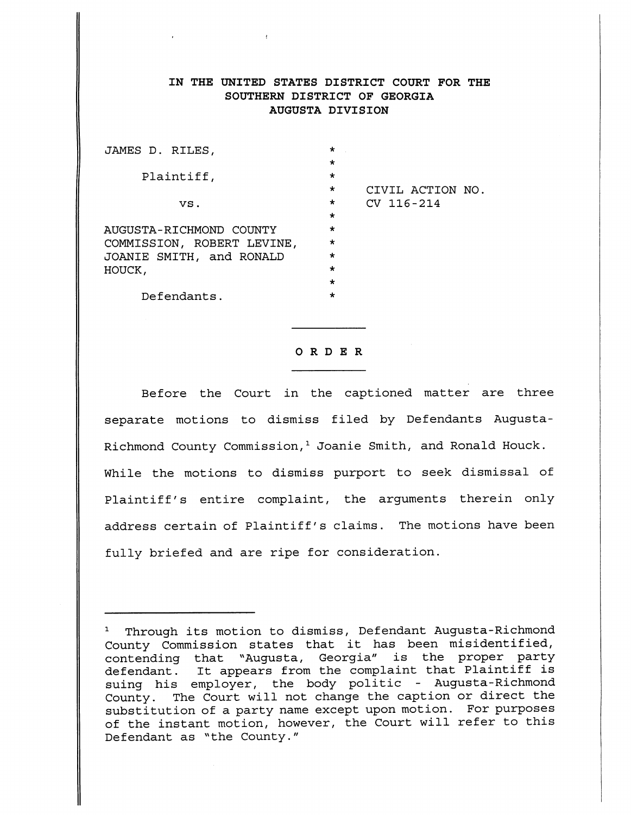# IN THE UNITED STATES DISTRICT COURT FOR THE SOUTHERN DISTRICT OF GEORGIA AUGUSTA DIVISION

| JAMES D. RILES,            | $\star$ |                  |
|----------------------------|---------|------------------|
|                            | $\star$ |                  |
| Plaintiff,                 | $\star$ |                  |
|                            | $\star$ | CIVIL ACTION NO. |
| VS.                        | $\star$ | $CV$ 116-214     |
|                            | $\star$ |                  |
| AUGUSTA-RICHMOND COUNTY    | $\star$ |                  |
| COMMISSION, ROBERT LEVINE, | $\star$ |                  |
| JOANIE SMITH, and RONALD   | $\star$ |                  |
| HOUCK,                     | $\star$ |                  |
|                            | $\star$ |                  |
| Defendants.                | $\star$ |                  |
|                            |         |                  |

 $\sim 10$ 

### *ORDER*

Before the Court in the captioned matter are three separate motions to dismiss filed by Defendants Augusta-Richmond County Commission,<sup>1</sup> Joanie Smith, and Ronald Houck. While the motions to dismiss purport to seek dismissal of Plaintiff's entire complaint, the arguments therein only address certain of Plaintiff's claims. The motions have been fully briefed and are ripe for consideration.

[Dockets.Justia.com](https://dockets.justia.com/)

<sup>1</sup> Through its motion to dismiss, Defendant Augusta-Richmond County Commission states that it has been misidentified, contending that "Augusta, Georgia" is the proper party defendant. It appears from the complaint that Plaintiff is suing his employer, the body politic - Augusta-Richmond County. The Court will not change the caption or direct the substitution of a party name except upon motion. For purposes of the instant motion, however, the Court will refer to this Defendant as "the County."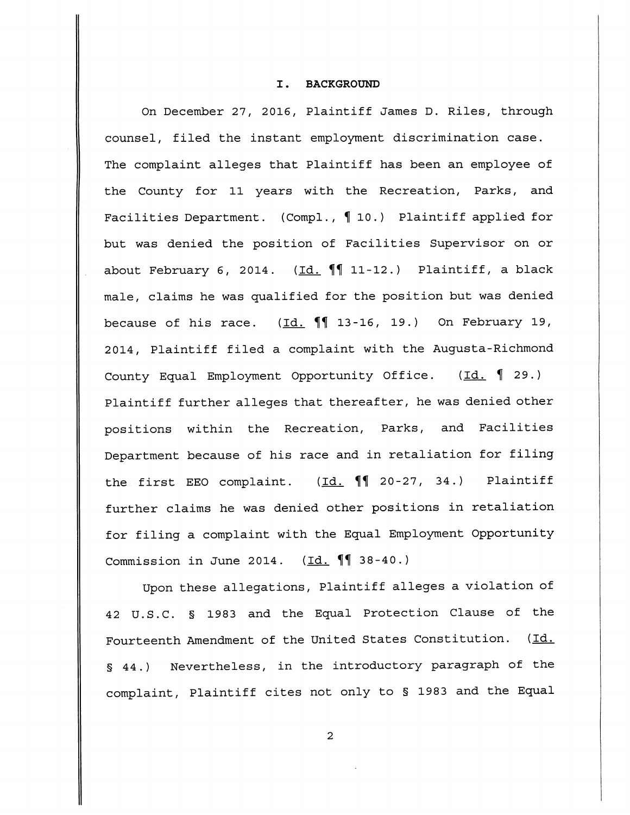### I. BACKGROUND

On December 27, 2016, Plaintiff James D. Riles, through counsel, filed the instant employment discrimination case. The complaint alleges that Plaintiff has been an employee of the County for 11 years with the Recreation, Parks, and Facilities Department. (Compl., 10.) Plaintiff applied for but was denied the position of Facilities Supervisor on or about February 6, 2014. (Id.  $\P\P$  11-12.) Plaintiff, a black male, claims he was qualified for the position but was denied because of his race.  $(Id. \P \P 13-16, 19.)$  On February 19, 2014, Plaintiff filed a complaint with the Augusta-Richmond County Equal Employment Opportunity Office. (Id. **%** 29.) Plaintiff further alleges that thereafter, he was denied other positions within the Recreation, Parks, and Facilities Department because of his race and in retaliation for filing the first EEO complaint.  $(\underline{Id.} \P \P 20-27, 34.)$  Plaintiff further claims he was denied other positions in retaliation for filing a complaint with the Equal Employment Opportunity Commission in June 2014.  $(\underline{Id.} \P \P 38 - 40.)$ 

Upon these allegations, Plaintiff alleges a violation of 42 U.S.C. § 1983 and the Equal Protection Clause of the Fourteenth Amendment of the United States Constitution. (Id. § 44.) Nevertheless, in the introductory paragraph of the complaint, Plaintiff cites not only to § 1983 and the Equal

 $\overline{a}$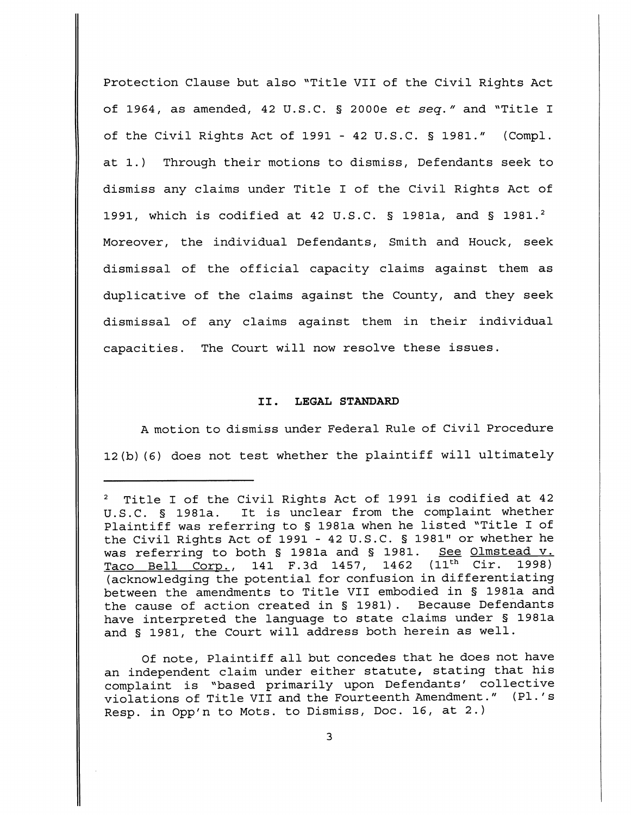Protection Clause but also "Title VII of the Civil Rights Act of 1964, as amended, <sup>42</sup> U.S.C. § 2000e **et seq."** and "Title <sup>I</sup> of the Civil Rights Act of 1991 - 42 U.S.C. § 1981." (Compl. at 1.) Through their motions to dismiss, Defendants seek to dismiss any claims under Title I of the Civil Rights Act of 1991, which is codified at 42 U.S.C. § 1981a, and § 1981.<sup>2</sup> Moreover, the individual Defendants, Smith and Houck, seek dismissal of the official capacity claims against them as duplicative of the claims against the County, and they seek dismissal of any claims against them in their individual capacities. The Court will now resolve these issues.

## II. LEGAL STANDARD

A motion to dismiss under Federal Rule of Civil Procedure 12(b)(6) does not test whether the plaintiff will ultimately

Of note, Plaintiff all but concedes that he does not have an independent claim under either statute, stating that his complaint is "based primarily upon Defendants' collective violations of Title VII and the Fourteenth Amendment." (PL's Resp. in Opp'n to Mots, to Dismiss, Doc. 16, at 2.)

<sup>2</sup> Title I of the Civil Rights Act of 1991 is codified at 42 U.S.C. § 1981a. It is unclear from the complaint whether Plaintiff was referring to § 1981a when he listed "Title I of the Civil Rights Act of 1991 - 42 U.S.C. § 1981" or whether he was referring to both § 1981a and § 1981. See Olmstead v. Taco Bell Corp., 141 F.3d 1457, 1462 (11<sup>th</sup> Cir. 1998) (acknowledging the potential for confusion in differentiating between the amendments to Title VII embodied in § 1981a and the cause of action created in § 1981). Because Defendants have interpreted the language to state claims under § 1981a and § 1981, the Court will address both herein as well.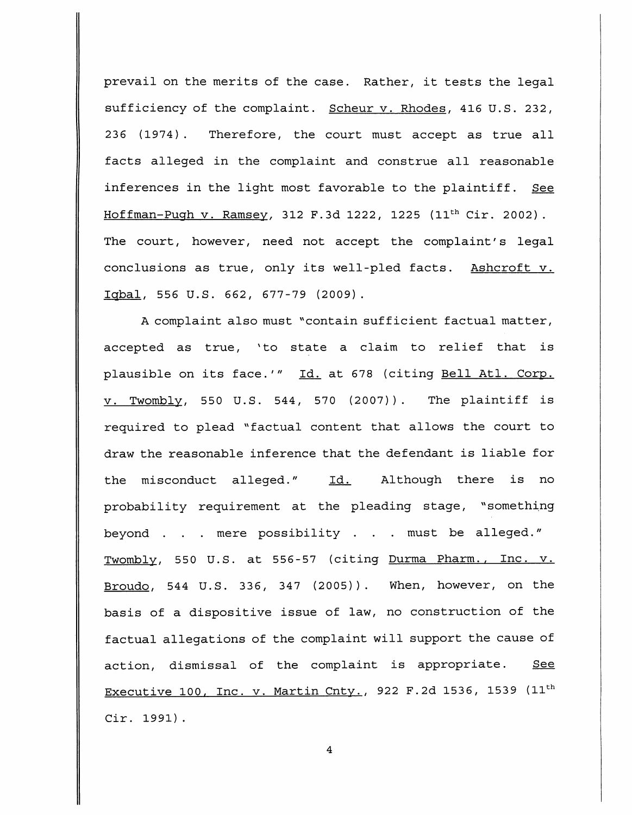prevail on the merits of the case. Rather, it tests the legal sufficiency of the complaint. Scheur v. Rhodes, 416 U.S. 232, 236 (1974) . Therefore, the court must accept as true all facts alleged in the complaint and construe all reasonable inferences in the light most favorable to the plaintiff. See Hoffman-Pugh v. Ramsey, 312 F.3d 1222, 1225 (11th Cir. 2002). The court, however, need not accept the complaint's legal conclusions as true, only its well-pled facts. Ashcroft v. Iqbal, 556 U.S. 662, 677-79 (2009).

A complaint also must "contain sufficient factual matter, accepted as true, 'to state a claim to relief that is plausible on its face.'" Id. at 678 (citing Bell Atl. Corp. v. Twomblv, 550 U.S. 544, 570 (2007)). The plaintiff is required to plead "factual content that allows the court to draw the reasonable inference that the defendant is liable for the misconduct alleged." Id. Although there is no probability requirement at the pleading stage, "something beyond . . . mere possibility . . . must be alleged." Twombly, 550 U.S. at 556-57 (citing Durma Pharm., Inc. v. Broudo, 544 U.S. 336, 347 (2005)). When, however, on the basis of a dispositive issue of law, no construction of the factual allegations of the complaint will support the cause of action, dismissal of the complaint is appropriate. See Executive 100, Inc. v. Martin Cnty., 922 F.2d 1536, 1539 (11<sup>th</sup> Cir. 1991).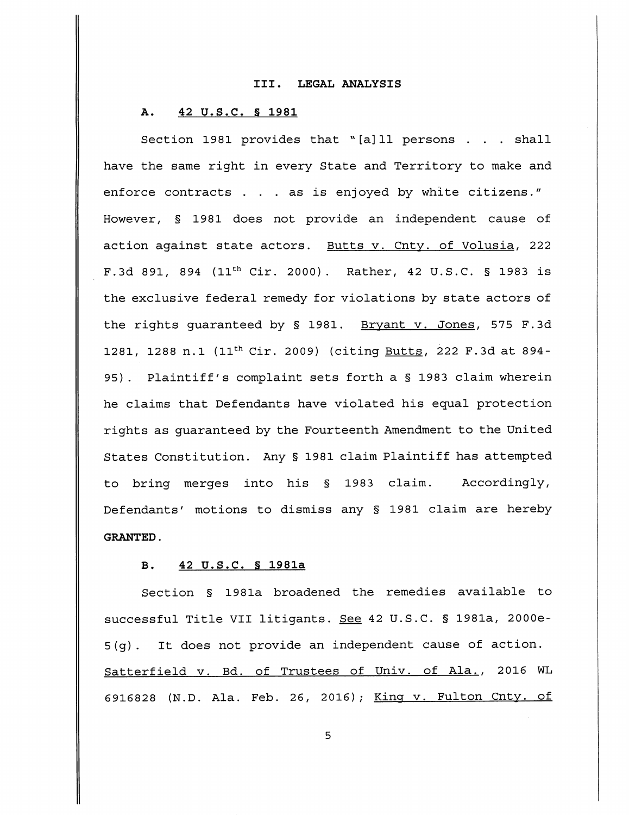### III. LEGAL ANALYSIS

### A. 42 U.S.C. § 1981

Section 1981 provides that " $[a]$ ll persons . . . shall have the same right in every State and Territory to make and enforce contracts . . . as is enjoyed by white citizens." However, § 1981 does not provide an independent cause of action against state actors. Butts v. Cnty. of Volusia, 222 F.3d 891, 894 (11th Cir. 2000). Rather, 42 U.S.C. § 1983 is the exclusive federal remedy for violations by state actors of the rights guaranteed by § 1981. Bryant v. Jones, 575 F.3d 1281, 1288 n.l (11th Cir. 2009) (citing Butts, 222 F.3d at 894- 95) . Plaintiff's complaint sets forth a § 1983 claim wherein he claims that Defendants have violated his equal protection rights as guaranteed by the Fourteenth Amendment to the United States Constitution. Any § 1981 claim Plaintiff has attempted to bring merges into his § 1983 claim. Accordingly, Defendants' motions to dismiss any § 1981 claim are hereby GRANTED.

# B. 42 U.S.C. § 1981a

Section § 1981a broadened the remedies available to successful Title VII litigants. See 42 U.S.C. § 1981a, 2000e-5(g). It does not provide an independent cause of action. Satterfield v. Bd. of Trustees of Univ. of Ala., 2016 WL 6916828 (N.D. Ala. Feb. 26, 2016); King v. Fulton Cnty. of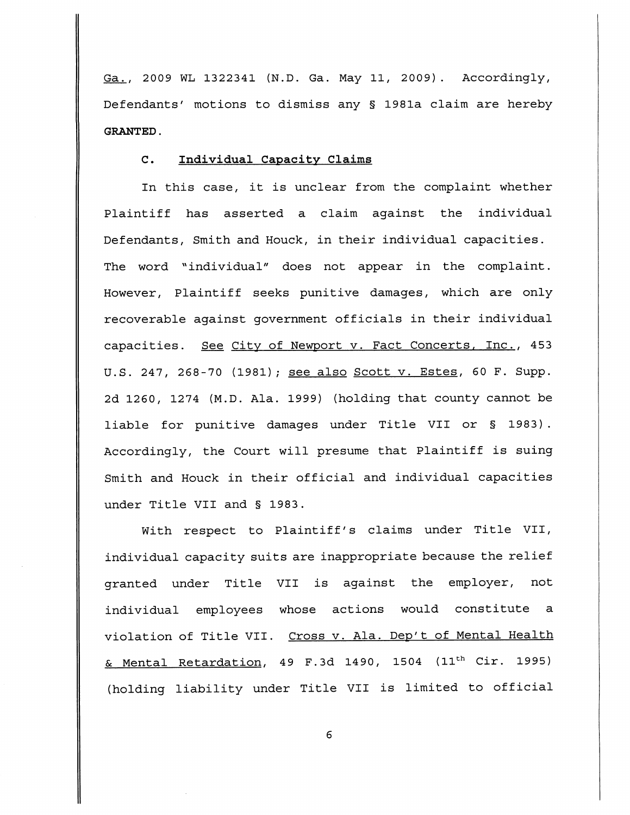Ga., 2009 WL 1322341 (N.D. Ga. May 11, 2009). Accordingly, Defendants' motions to dismiss any § 1981a claim are hereby GRANTED.

# C. Individual Capacity Claims

In this case, it is unclear from the complaint whether Plaintiff has asserted a claim against the individual Defendants, Smith and Houck, in their individual capacities. The word "individual" does not appear in the complaint. However, Plaintiff seeks punitive damages, which are only recoverable against government officials in their individual capacities. See City of Newport v. Fact Concerts, Inc., 453 U.S. 247, 268-70 (1981); see also Scott v. Estes, 60 F. Supp. 2d 1260, 1274 (M.D. Ala. 1999) (holding that county cannot be liable for punitive damages under Title VII or § 1983) . Accordingly, the Court will presume that Plaintiff is suing Smith and Houck in their official and individual capacities under Title VII and § 1983.

With respect to Plaintiff's claims under Title VII, individual capacity suits are inappropriate because the relief granted under Title VII is against the employer, not individual employees whose actions would constitute a violation of Title VII. Cross v. Ala. Dep't of Mental Health & Mental Retardation, 49 F.3d 1490, 1504 (11th Cir. 1995) (holding liability under Title VII is limited to official

6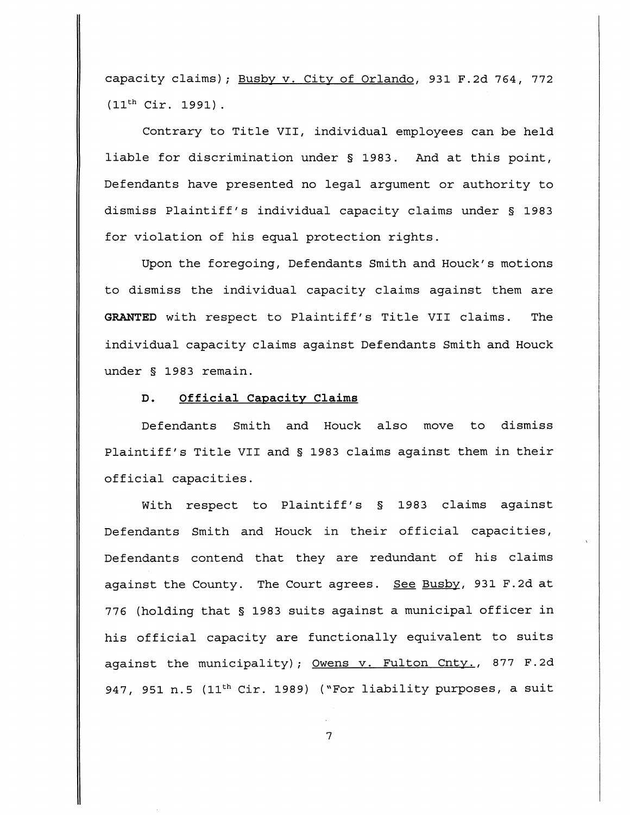capacity claims); Busby v. City of Orlando, 931 F.2d 764, 772 (11th Cir. 1991) .

Contrary to Title VII, individual employees can be held liable for discrimination under § 1983. And at this point, Defendants have presented no legal argument or authority to dismiss Plaintiff's individual capacity claims under § 1983 for violation of his equal protection rights.

Upon the foregoing, Defendants Smith and Houck's motions to dismiss the individual capacity claims against them are GRANTED with respect to Plaintiff's Title VII claims. The individual capacity claims against Defendants Smith and Houck under § 1983 remain.

## D. Official Capacity Claims

Defendants Smith and Houck also move to dismiss Plaintiff's Title VII and § 1983 claims against them in their official capacities.

With respect to Plaintiff's § 1983 claims against Defendants Smith and Houck in their official capacities, Defendants contend that they are redundant of his claims against the County. The Court agrees. See Busby, 931 F.2d at 776 (holding that § 1983 suits against a municipal officer in his official capacity are functionally equivalent to suits against the municipality); Owens v. Fulton Cnty., 877 F.2d 947, 951 n.5 (11<sup>th</sup> Cir. 1989) ("For liability purposes, a suit

 $\overline{7}$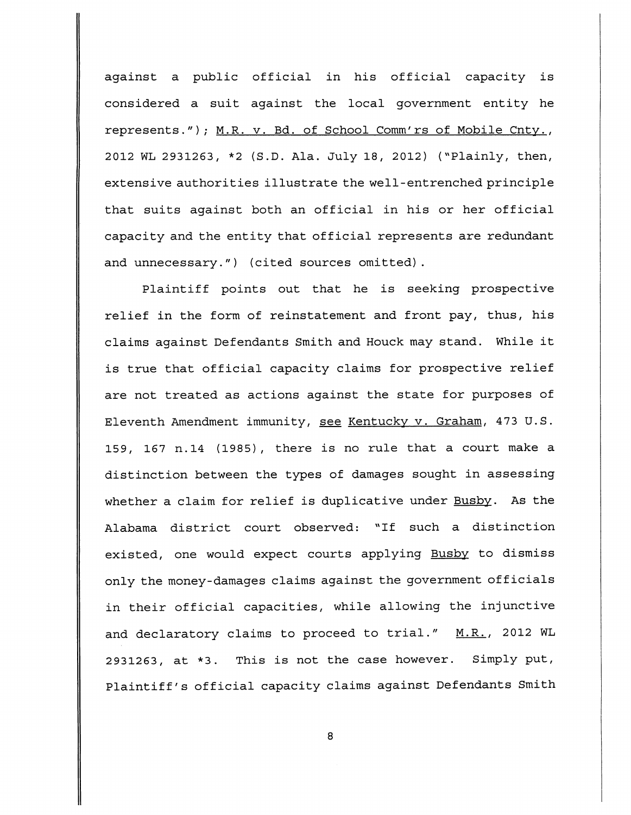against a public official in his official capacity is considered a suit against the local government entity he represents."); M.R. v. Bd. of School Comm'rs of Mobile Cnty., 2012 WL 2931263, \*2 (S.D. Ala. July 18, 2012) ("Plainly, then, extensive authorities illustrate the well-entrenched principle that suits against both an official in his or her official capacity and the entity that official represents are redundant and unnecessary.") (cited sources omitted).

Plaintiff points out that he is seeking prospective relief in the form of reinstatement and front pay, thus, his claims against Defendants Smith and Houck may stand. While it is true that official capacity claims for prospective relief are not treated as actions against the state for purposes of Eleventh Amendment immunity, see Kentucky v. Graham, 473 U.S. 159, 167 n.14 (1985), there is no rule that a court make a distinction between the types of damages sought in assessing whether a claim for relief is duplicative under Busby. As the Alabama district court observed: "If such a distinction existed, one would expect courts applying Busby to dismiss only the money-damages claims against the government officials in their official capacities, while allowing the injunctive and declaratory claims to proceed to trial."  $M.R.,$  2012 WL 2931263, at \*3. This is not the case however. Simply put, Plaintiff's official capacity claims against Defendants Smith

8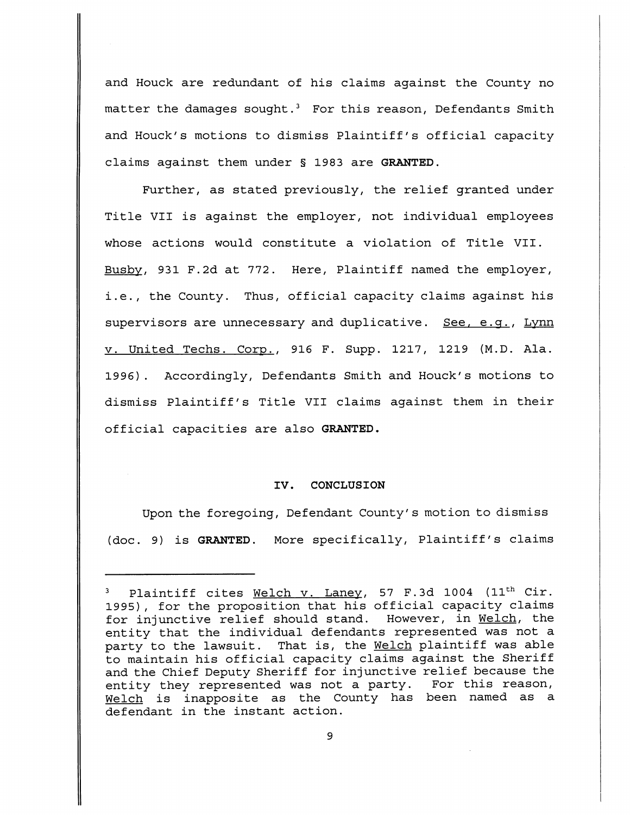and Houck are redundant of his claims against the County no matter the damages sought.<sup>3</sup> For this reason, Defendants Smith and Houck's motions to dismiss Plaintiff's official capacity claims against them under § 1983 are GRANTED.

Further, as stated previously, the relief granted under Title VII is against the employer, not individual employees whose actions would constitute a violation of Title VII. Busby, 931 F.2d at 772. Here, Plaintiff named the employer, i.e., the County. Thus, official capacity claims against his supervisors are unnecessary and duplicative. See, e.g., Lynn v. United Techs. Corp., 916 F. Supp. 1217, 1219 (M.D. Ala. 1996). Accordingly, Defendants Smith and Houck's motions to dismiss Plaintiff's Title VII claims against them in their official capacities are also GRANTED,

### IV. CONCLUSION

Upon the foregoing, Defendant County's motion to dismiss (doc. 9) is GRANTED. More specifically, Plaintiff's claims

Plaintiff cites Welch v. Laney, 57 F.3d 1004 (11<sup>th</sup> Cir. 1995), for the proposition that his official capacity claims for injunctive relief should stand. However, in Welch, the entity that the individual defendants represented was not a party to the lawsuit. That is, the Welch plaintiff was able to maintain his official capacity claims against the Sheriff and the Chief Deputy Sheriff for injunctive relief because the entity they represented was not a party. For this reason, Welch is inapposite as the County has been named as a defendant in the instant action.